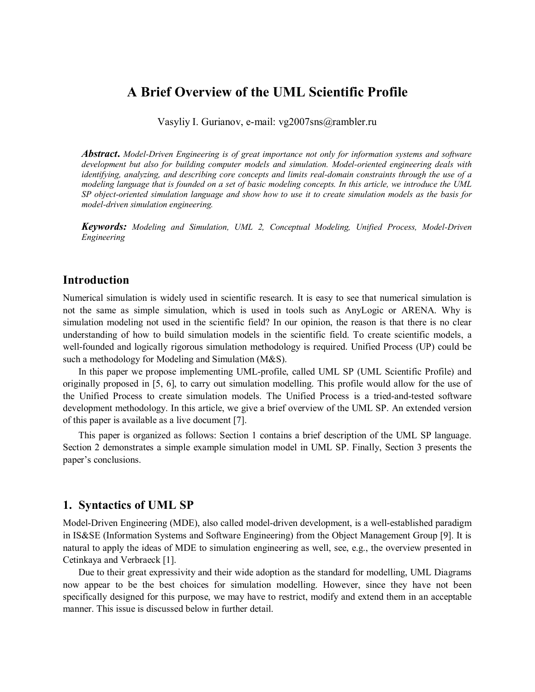# **A Brief Overview of the UML Scientific Profile**

Vasyliy I. Gurianov, e-mail: vg2007sns@rambler.ru

*Abstract***.** *Model-Driven Engineering is of great importance not only for information systems and software development but also for building computer models and simulation. Model-oriented engineering deals with identifying, analyzing, and describing core concepts and limits real-domain constraints through the use of a modeling language that is founded on a set of basic modeling concepts. In this article, we introduce the UML SP object-oriented simulation language and show how to use it to create simulation models as the basis for model-driven simulation engineering.*

*Keywords: Modeling and Simulation, UML 2, Conceptual Modeling, Unified Process, Model-Driven Engineering*

## **Introduction**

Numerical simulation is widely used in scientific research. It is easy to see that numerical simulation is not the same as simple simulation, which is used in tools such as AnyLogic or ARENA. Why is simulation modeling not used in the scientific field? In our opinion, the reason is that there is no clear understanding of how to build simulation models in the scientific field. To create scientific models, a well-founded and logically rigorous simulation methodology is required. Unified Process (UP) could be such a methodology for Modeling and Simulation (M&S).

In this paper we propose implementing UML-profile, called UML SP (UML Scientific Profile) and originally proposed in [5, 6], to carry out simulation modelling. This profile would allow for the use of the Unified Process to create simulation models. The Unified Process is a tried-and-tested software development methodology. In this article, we give a brief overview of the UML SP. An extended version of this paper is available as a live document [7].

This paper is organized as follows: Section 1 contains a brief description of the UML SP language. Section 2 demonstrates a simple example simulation model in UML SP. Finally, Section 3 presents the paper's conclusions.

## **1. Syntactics of UML SP**

Model-Driven Engineering (MDE), also called model-driven development, is a well-established paradigm in IS&SE (Information Systems and Software Engineering) from the Object Management Group [9]. It is natural to apply the ideas of MDE to simulation engineering as well, see, e.g., the overview presented in Cetinkaya and Verbraeck [1].

Due to their great expressivity and their wide adoption as the standard for modelling, UML Diagrams now appear to be the best choices for simulation modelling. However, since they have not been specifically designed for this purpose, we may have to restrict, modify and extend them in an acceptable manner. This issue is discussed below in further detail.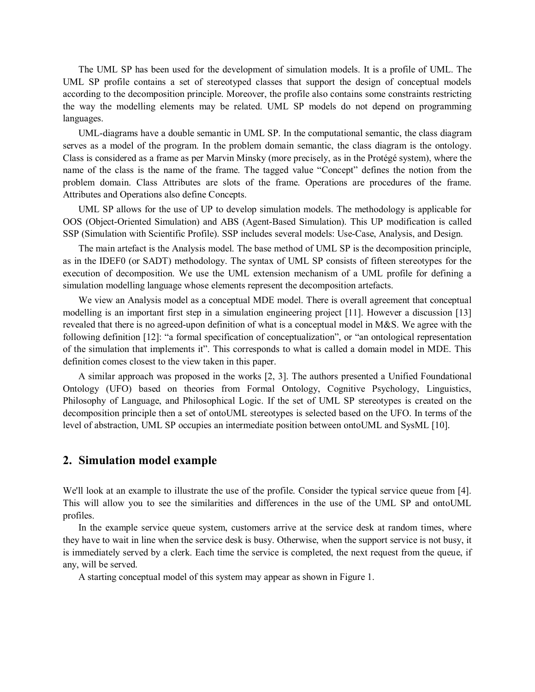The UML SP has been used for the development of simulation models. It is a profile of UML. The UML SP profile contains a set of stereotyped classes that support the design of conceptual models according to the decomposition principle. Moreover, the profile also contains some constraints restricting the way the modelling elements may be related. UML SP models do not depend on programming languages.

UML-diagrams have a double semantic in UML SP. In the computational semantic, the class diagram serves as a model of the program. In the problem domain semantic, the class diagram is the ontology. Class is considered as a frame as per Marvin Minsky (more precisely, as in the Protégé system), where the name of the class is the name of the frame. The tagged value "Concept" defines the notion from the problem domain. Class Attributes are slots of the frame. Operations are procedures of the frame. Attributes and Operations also define Concepts.

UML SP allows for the use of UP to develop simulation models. The methodology is applicable for OOS (Object-Oriented Simulation) and ABS (Agent-Based Simulation). This UP modification is called SSP (Simulation with Scientific Profile). SSP includes several models: Use-Case, Analysis, and Design.

The main artefact is the Analysis model. The base method of UML SP is the decomposition principle, as in the IDEF0 (or SADT) methodology. The syntax of UML SP consists of fifteen stereotypes for the execution of decomposition. We use the UML extension mechanism of a UML profile for defining a simulation modelling language whose elements represent the decomposition artefacts.

We view an Analysis model as a conceptual MDE model. There is overall agreement that conceptual modelling is an important first step in a simulation engineering project [11]. However a discussion [13] revealed that there is no agreed-upon definition of what is a conceptual model in M&S. We agree with the following definition [12]: "a formal specification of conceptualization", or "an ontological representation of the simulation that implements it". This corresponds to what is called a domain model in MDE. This definition comes closest to the view taken in this paper.

A similar approach was proposed in the works [2, 3]. The authors presented a Unified Foundational Ontology (UFO) based on theories from Formal Ontology, Cognitive Psychology, Linguistics, Philosophy of Language, and Philosophical Logic. If the set of UML SP stereotypes is created on the decomposition principle then a set of ontoUML stereotypes is selected based on the UFO. In terms of the level of abstraction, UML SP occupies an intermediate position between ontoUML and SysML [10].

### **2. Simulation model example**

We'll look at an example to illustrate the use of the profile. Consider the typical service queue from [4]. This will allow you to see the similarities and differences in the use of the UML SP and ontoUML profiles.

In the example service queue system, customers arrive at the service desk at random times, where they have to wait in line when the service desk is busy. Otherwise, when the support service is not busy, it is immediately served by a clerk. Each time the service is completed, the next request from the queue, if any, will be served.

A starting conceptual model of this system may appear as shown in Figure 1.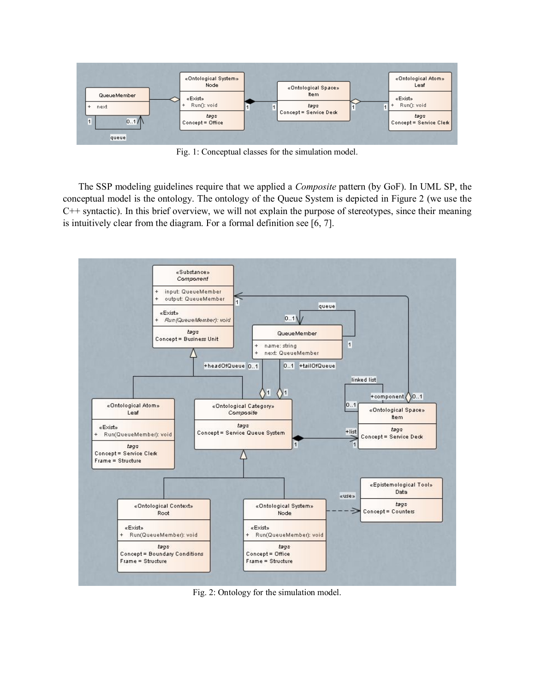

Fig. 1: Conceptual classes for the simulation model.

The SSP modeling guidelines require that we applied a *Composite* pattern (by GoF). In UML SP, the conceptual model is the ontology. The ontology of the Queue System is depicted in Figure 2 (we use the C++ syntactic). In this brief overview, we will not explain the purpose of stereotypes, since their meaning is intuitively clear from the diagram. For a formal definition see [6, 7].



Fig. 2: Ontology for the simulation model.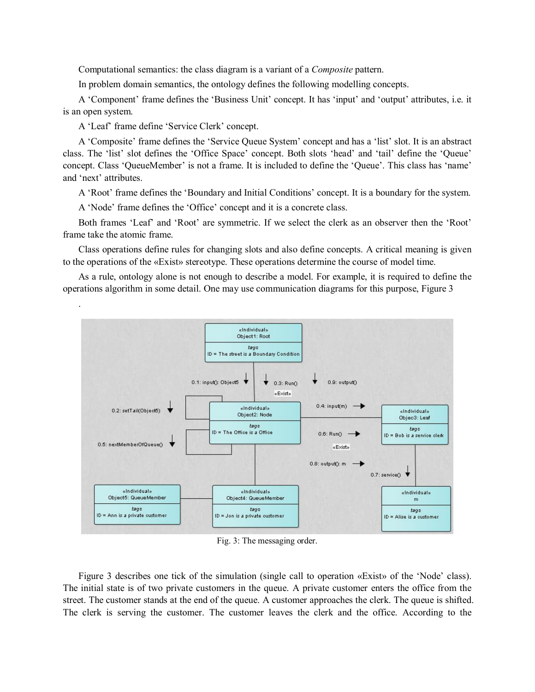Computational semantics: the class diagram is a variant of a *Composite* pattern.

In problem domain semantics, the ontology defines the following modelling concepts.

A 'Component' frame defines the 'Business Unit' concept. It has 'input' and 'output' attributes, i.e. it is an open system.

A 'Leaf' frame define 'Service Clerk' concept.

.

A 'Composite' frame defines the 'Service Queue System' concept and has a 'list' slot. It is an abstract class. The 'list' slot defines the 'Office Space' concept. Both slots 'head' and 'tail' define the 'Queue' concept. Class 'QueueMember' is not a frame. It is included to define the 'Queue'. This class has 'name' and 'next' attributes.

A 'Root' frame defines the 'Boundary and Initial Conditions' concept. It is a boundary for the system.

A 'Node' frame defines the 'Office' concept and it is a concrete class.

Both frames 'Leaf' and 'Root' are symmetric. If we select the clerk as an observer then the 'Root' frame take the atomic frame.

Class operations define rules for changing slots and also define concepts. A critical meaning is given to the operations of the «Exist» stereotype. These operations determine the course of model time.

As a rule, ontology alone is not enough to describe a model. For example, it is required to define the operations algorithm in some detail. One may use communication diagrams for this purpose, Figure 3



Fig. 3: The messaging order.

Figure 3 describes one tick of the simulation (single call to operation «Exist» of the 'Node' class). The initial state is of two private customers in the queue. A private customer enters the office from the street. The customer stands at the end of the queue. A customer approaches the clerk. The queue is shifted. The clerk is serving the customer. The customer leaves the clerk and the office. According to the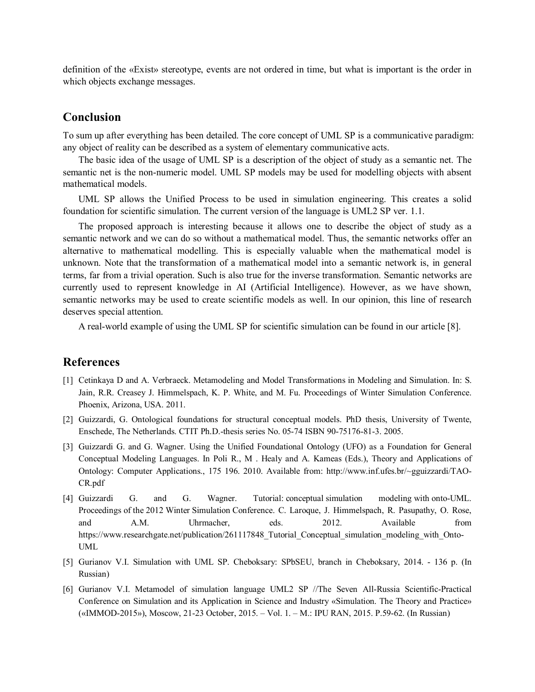definition of the «Exist» stereotype, events are not ordered in time, but what is important is the order in which objects exchange messages.

### **Conclusion**

To sum up after everything has been detailed. The core concept of UML SP is a communicative paradigm: any object of reality can be described as a system of elementary communicative acts.

The basic idea of the usage of UML SP is a description of the object of study as a semantic net. The semantic net is the non-numeric model. UML SP models may be used for modelling objects with absent mathematical models.

UML SP allows the Unified Process to be used in simulation engineering. This creates a solid foundation for scientific simulation. The current version of the language is UML2 SP ver. 1.1.

The proposed approach is interesting because it allows one to describe the object of study as a semantic network and we can do so without a mathematical model. Thus, the semantic networks offer an alternative to mathematical modelling. This is especially valuable when the mathematical model is unknown. Note that the transformation of a mathematical model into a semantic network is, in general terms, far from a trivial operation. Such is also true for the inverse transformation. Semantic networks are currently used to represent knowledge in AI (Artificial Intelligence). However, as we have shown, semantic networks may be used to create scientific models as well. In our opinion, this line of research deserves special attention.

A real-world example of using the UML SP for scientific simulation can be found in our article [8].

### **References**

- [1] Cetinkaya D and A. Verbraeck. Metamodeling and Model Transformations in Modeling and Simulation. In: S. Jain, R.R. Creasey J. Himmelspach, K. P. White, and M. Fu. Proceedings of Winter Simulation Conference. Phoenix, Arizona, USA. 2011.
- [2] Guizzardi, G. Ontological foundations for structural conceptual models. PhD thesis, University of Twente, Enschede, The Netherlands. CTIT Ph.D.-thesis series No. 05-74 ISBN 90-75176-81-3. 2005.
- [3] Guizzardi G. and G. Wagner. Using the Unified Foundational Ontology (UFO) as a Foundation for General Conceptual Modeling Languages. In Poli R., M . Healy and A. Kameas (Eds.), Theory and Applications of Ontology: Computer Applications., 175 196. 2010. Available from: http://www.inf.ufes.br/~gguizzardi/TAO-CR.pdf
- [4] Guizzardi G. and G. Wagner. Tutorial: conceptual simulation modeling with onto-UML. Proceedings of the 2012 Winter Simulation Conference. C. Laroque, J. Himmelspach, R. Pasupathy, O. Rose, and A.M. Uhrmacher, eds. 2012. Available from https://www.researchgate.net/publication/261117848 Tutorial Conceptual simulation modeling with Onto-UML
- [5] Gurianov V.I. Simulation with UML SP. Cheboksary: SPbSEU, branch in Cheboksary, 2014. 136 p. (In Russian)
- [6] Gurianov V.I. Metamodel of simulation language UML2 SP //The Seven All-Russia Scientific-Practical Conference on Simulation and its Application in Science and Industry «Simulation. The Theory and Practice» («IMMOD-2015»), Moscow, 21-23 October, 2015. – Vol. 1. – M.: IPU RAN, 2015. P.59-62. (In Russian)